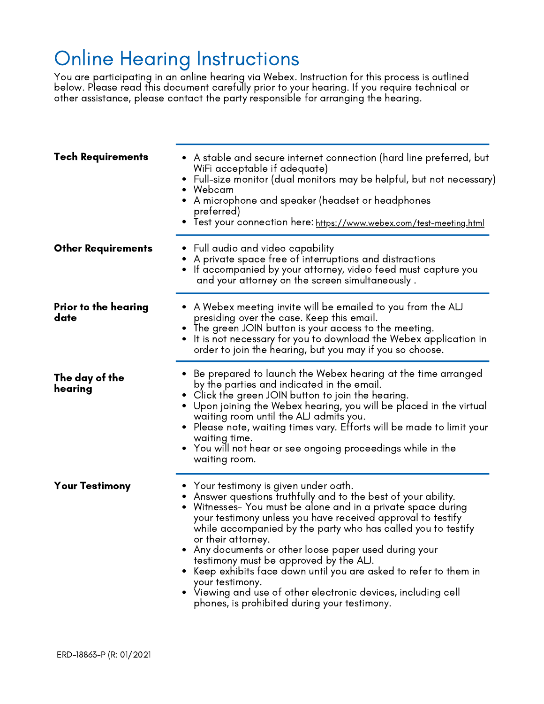## Online Hearing Instructions

You are participating in an online hearing via Webex. Instruction for this process is outlined below. Please read this document carefully prior to your hearing. If you require technical or other assistance, please contact the party responsible for arranging the hearing.

| <b>Tech Requirements</b>     | • A stable and secure internet connection (hard line preferred, but<br>WiFi acceptable if adequate)<br>• Full-size monitor (dual monitors may be helpful, but not necessary)<br>• Webcam<br>$\bullet$ A microphone and speaker (headset or headphones<br>preferred)<br>• Test your connection here: https://www.webex.com/test-meeting.html                                                                                                                                                                                                                                                                                                |
|------------------------------|--------------------------------------------------------------------------------------------------------------------------------------------------------------------------------------------------------------------------------------------------------------------------------------------------------------------------------------------------------------------------------------------------------------------------------------------------------------------------------------------------------------------------------------------------------------------------------------------------------------------------------------------|
| <b>Other Requirements</b>    | $\bullet$ Full audio and video capability<br>A private space free of interruptions and distractions<br>If accompanied by your attorney, video feed must capture you<br>and your attorney on the screen simultaneously.                                                                                                                                                                                                                                                                                                                                                                                                                     |
| Prior to the hearing<br>date | $\bullet$ A Webex meeting invite will be emailed to you from the ALJ<br>presiding over the case. Keep this email.<br>• The green JOIN button is your access to the meeting.<br>It is not necessary for you to download the Webex application in<br>order to join the hearing, but you may if you so choose.                                                                                                                                                                                                                                                                                                                                |
| The day of the<br>hearing    | Be prepared to launch the Webex hearing at the time arranged<br>by the parties and indicated in the email.<br>$\bullet$ Click the green JOIN button to join the hearing.<br>$\bullet$ Upon joining the Webex hearing, you will be placed in the virtual<br>waiting room until the ALJ admits you.<br>• Please note, waiting times vary. Efforts will be made to limit your<br>waiting time.<br>$\bullet$ You will not hear or see ongoing proceedings while in the<br>waiting room.                                                                                                                                                        |
| <b>Your Testimony</b>        | $\bullet$ Your testimony is given under oath.<br>Answer questions truthfully and to the best of your ability.<br>Witnesses- You must be alone and in a private space during<br>your testimony unless you have received approval to testify<br>while accompanied by the party who has called you to testify<br>or their attorney.<br>• Any documents or other loose paper used during your<br>testimony must be approved by the ALJ.<br>Keep exhibits face down until you are asked to refer to them in<br>your testimony.<br>• Viewing and use of other electronic devices, including cell<br>phones, is prohibited during your testimony. |